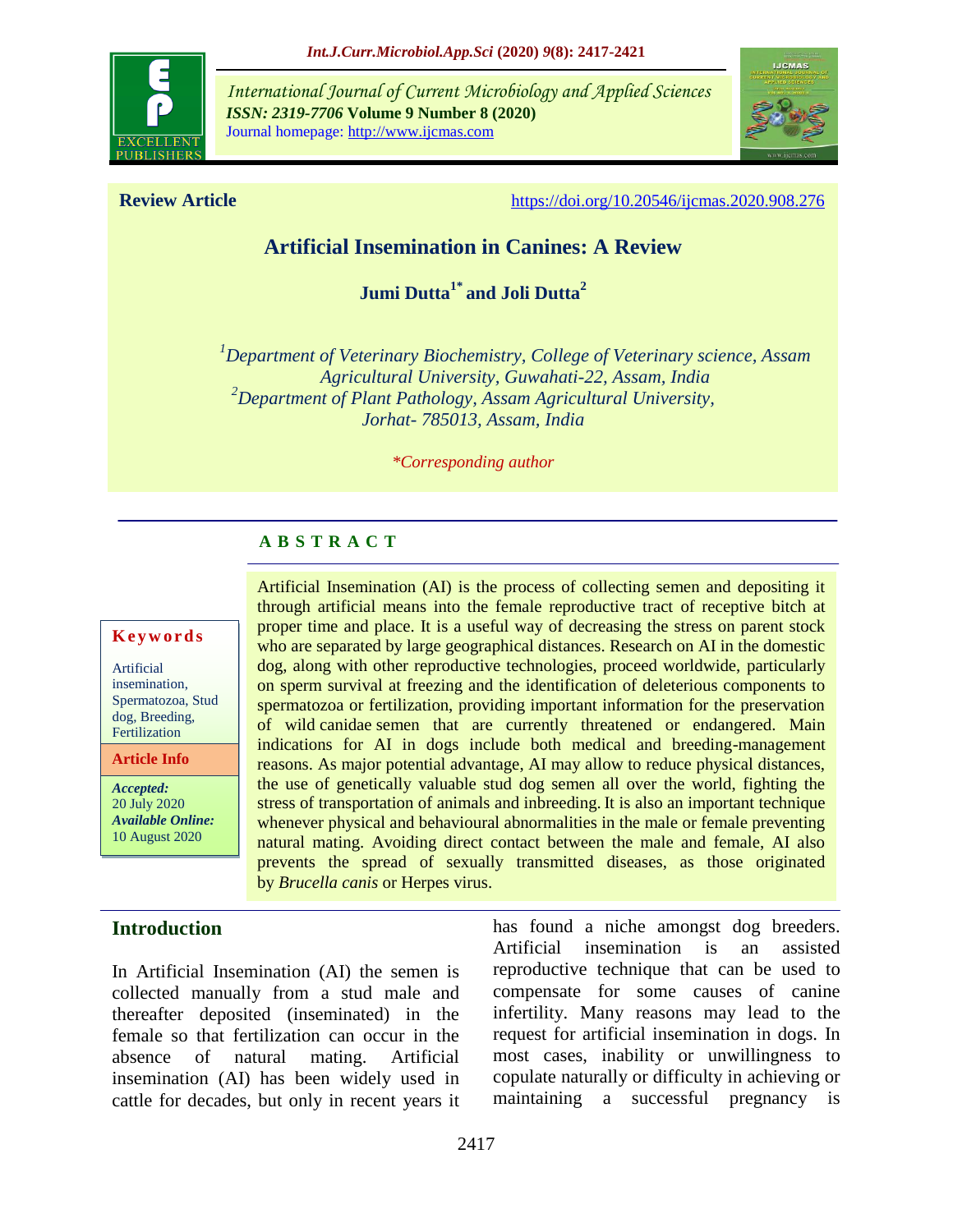

*International Journal of Current Microbiology and Applied Sciences ISSN: 2319-7706* **Volume 9 Number 8 (2020)**  Journal homepage: http://www.ijcmas.com



**Review Article** <https://doi.org/10.20546/ijcmas.2020.908.276>

# **Artificial Insemination in Canines: A Review**

**Jumi Dutta1\* and Joli Dutta<sup>2</sup>**

*<sup>1</sup>Department of Veterinary Biochemistry, College of Veterinary science, Assam Agricultural University, Guwahati-22, Assam, India <sup>2</sup>Department of Plant Pathology, Assam Agricultural University, Jorhat- 785013, Assam, India*

Artificial Insemination (AI) is the process of collecting semen and depositing it through artificial means into the female reproductive tract of receptive bitch at proper time and place. It is a useful way of decreasing the stress on parent stock who are separated by large geographical distances. Research on AI in the domestic dog, along with other reproductive technologies, proceed worldwide, particularly on sperm survival at freezing and the identification of deleterious components to spermatozoa or fertilization, providing important information for the preservation of wild canidae semen that are currently threatened or endangered. Main indications for AI in dogs include both medical and breeding-management reasons. As major potential advantage, AI may allow to reduce physical distances, the use of genetically valuable stud dog semen all over the world, fighting the stress of transportation of animals and inbreeding. It is also an important technique whenever physical and behavioural abnormalities in the male or female preventing natural mating. Avoiding direct contact between the male and female, AI also prevents the spread of sexually transmitted diseases, as those originated

*\*Corresponding author*

#### **A B S T R A C T**

by *Brucella canis* or Herpes virus.

#### **K e y w o r d s**

Artificial insemination, Spermatozoa, Stud dog, Breeding, Fertilization

**Article Info**

*Accepted:*  20 July 2020 *Available Online:* 10 August 2020

# **Introduction**

In Artificial Insemination (AI) the semen is collected manually from a stud male and thereafter deposited (inseminated) in the female so that fertilization can occur in the absence of natural mating. Artificial insemination (AI) has been widely used in cattle for decades, but only in recent years it has found a niche amongst dog breeders. Artificial insemination is an assisted reproductive technique that can be used to compensate for some causes of canine infertility. Many reasons may lead to the request for artificial insemination in dogs. In most cases, inability or unwillingness to copulate naturally or difficulty in achieving or maintaining a successful pregnancy is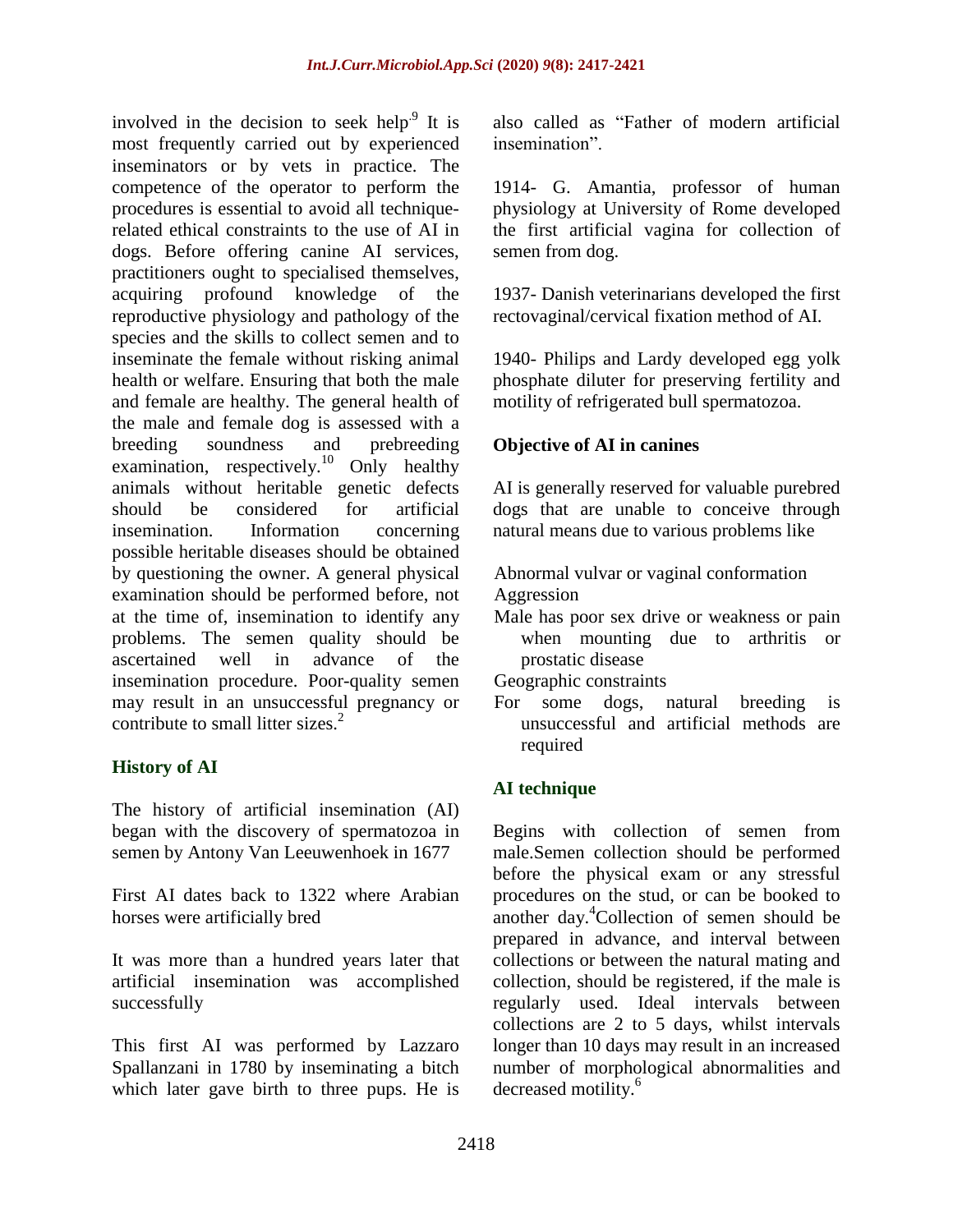involved in the decision to seek help<sup>9</sup> It is most frequently carried out by experienced inseminators or by vets in practice. The competence of the operator to perform the procedures is essential to avoid all techniquerelated ethical constraints to the use of AI in dogs. Before offering canine AI services, practitioners ought to specialised themselves, acquiring profound knowledge of the reproductive physiology and pathology of the species and the skills to collect semen and to inseminate the female without risking animal health or welfare. Ensuring that both the male and female are healthy. The general health of the male and female dog is assessed with a breeding soundness and prebreeding examination, respectively.<sup>10</sup> Only healthy animals without heritable genetic defects should be considered for artificial insemination. Information concerning possible heritable diseases should be obtained by questioning the owner. A general physical examination should be performed before, not at the time of, insemination to identify any problems. The semen quality should be ascertained well in advance of the insemination procedure. Poor-quality semen may result in an unsuccessful pregnancy or contribute to small litter sizes.<sup>2</sup>

# **History of AI**

The history of artificial insemination (AI) began with the discovery of spermatozoa in semen by Antony Van Leeuwenhoek in 1677

First AI dates back to 1322 where Arabian horses were artificially bred

It was more than a hundred years later that artificial insemination was accomplished successfully

This first AI was performed by Lazzaro Spallanzani in 1780 by inseminating a bitch which later gave birth to three pups. He is

also called as "Father of modern artificial insemination".

1914- G. Amantia, professor of human physiology at University of Rome developed the first artificial vagina for collection of semen from dog.

1937- Danish veterinarians developed the first rectovaginal/cervical fixation method of AI.

1940- Philips and Lardy developed egg yolk phosphate diluter for preserving fertility and motility of refrigerated bull spermatozoa.

# **Objective of AI in canines**

AI is generally reserved for valuable purebred dogs that are unable to conceive through natural means due to various problems like

Abnormal vulvar or vaginal conformation Aggression

Male has poor sex drive or weakness or pain when mounting due to arthritis or prostatic disease

Geographic constraints

For some dogs, natural breeding is unsuccessful and artificial methods are required

# **AI technique**

Begins with collection of semen from male.Semen collection should be performed before the physical exam or any stressful procedures on the stud, or can be booked to another day.<sup>4</sup>Collection of semen should be prepared in advance, and interval between collections or between the natural mating and collection, should be registered, if the male is regularly used. Ideal intervals between collections are 2 to 5 days, whilst intervals longer than 10 days may result in an increased number of morphological abnormalities and decreased motility.<sup>6</sup>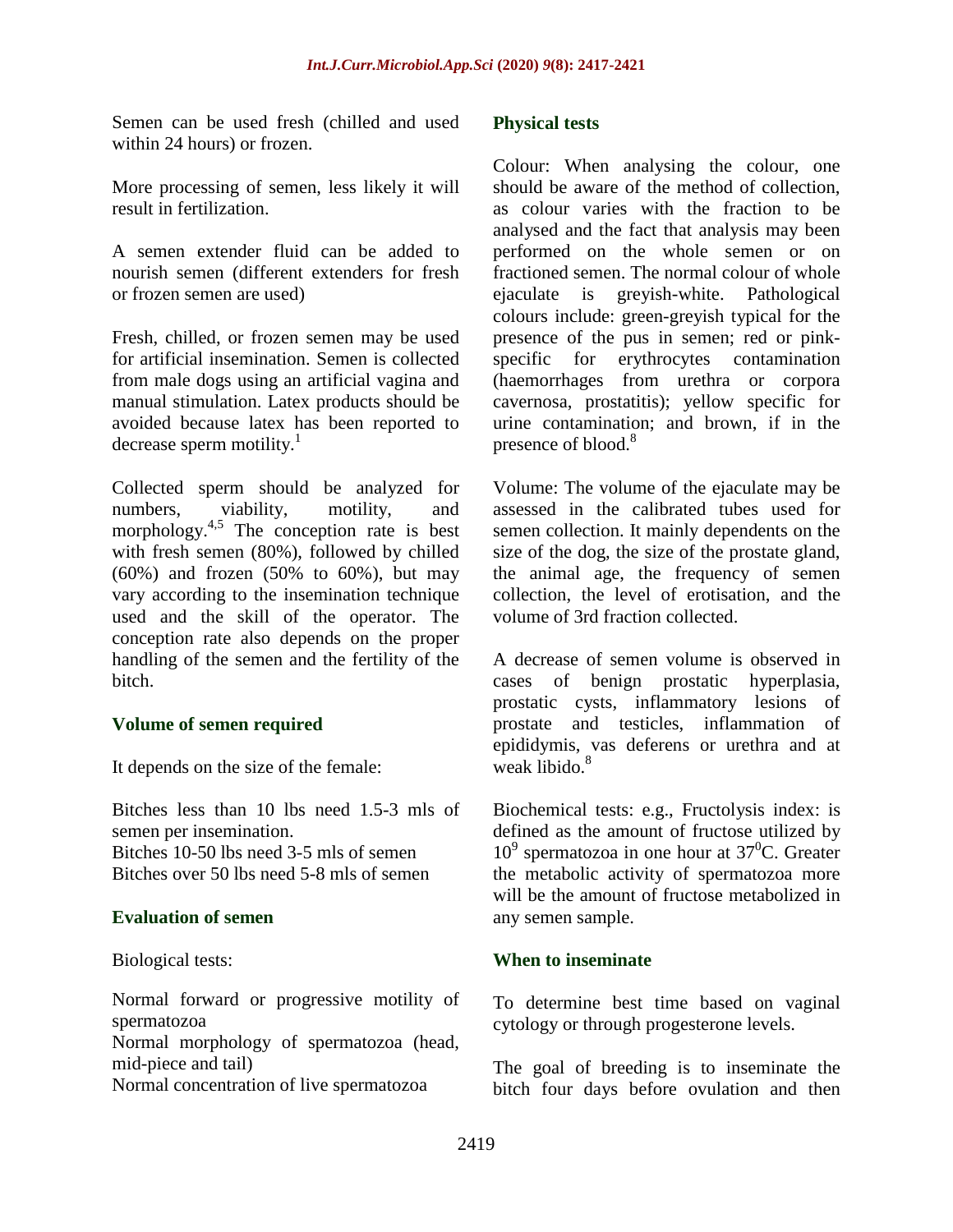Semen can be used fresh (chilled and used within 24 hours) or frozen.

More processing of semen, less likely it will result in fertilization.

A semen extender fluid can be added to nourish semen (different extenders for fresh or frozen semen are used)

Fresh, chilled, or frozen semen may be used for artificial insemination. Semen is collected from male dogs using an artificial vagina and manual stimulation. Latex products should be avoided because latex has been reported to decrease sperm motility. $<sup>1</sup>$ </sup>

Collected sperm should be analyzed for numbers, viability, motility, and morphology. $4,5$  The conception rate is best with fresh semen (80%), followed by chilled  $(60\%)$  and frozen  $(50\%$  to  $60\%)$ , but may vary according to the insemination technique used and the skill of the operator. The conception rate also depends on the proper handling of the semen and the fertility of the bitch.

## **Volume of semen required**

It depends on the size of the female:

Bitches less than 10 lbs need 1.5-3 mls of semen per insemination.

Bitches 10-50 lbs need 3-5 mls of semen Bitches over 50 lbs need 5-8 mls of semen

#### **Evaluation of semen**

Biological tests:

Normal forward or progressive motility of spermatozoa

Normal morphology of spermatozoa (head, mid-piece and tail)

Normal concentration of live spermatozoa

#### **Physical tests**

Colour: When analysing the colour, one should be aware of the method of collection, as colour varies with the fraction to be analysed and the fact that analysis may been performed on the whole semen or on fractioned semen. The normal colour of whole ejaculate is greyish-white. Pathological colours include: green-greyish typical for the presence of the pus in semen; red or pinkspecific for erythrocytes contamination (haemorrhages from urethra or corpora cavernosa, prostatitis); yellow specific for urine contamination; and brown, if in the presence of blood.<sup>8</sup>

Volume: The volume of the ejaculate may be assessed in the calibrated tubes used for semen collection. It mainly dependents on the size of the dog, the size of the prostate gland, the animal age, the frequency of semen collection, the level of erotisation, and the volume of 3rd fraction collected.

A decrease of semen volume is observed in cases of benign prostatic hyperplasia, prostatic cysts, inflammatory lesions of prostate and testicles, inflammation of epididymis, vas deferens or urethra and at weak libido.<sup>8</sup>

Biochemical tests: e.g., Fructolysis index: is defined as the amount of fructose utilized by  $10<sup>9</sup>$  spermatozoa in one hour at 37<sup>0</sup>C. Greater the metabolic activity of spermatozoa more will be the amount of fructose metabolized in any semen sample.

#### **When to inseminate**

To determine best time based on vaginal cytology or through progesterone levels.

The goal of breeding is to inseminate the bitch four days before ovulation and then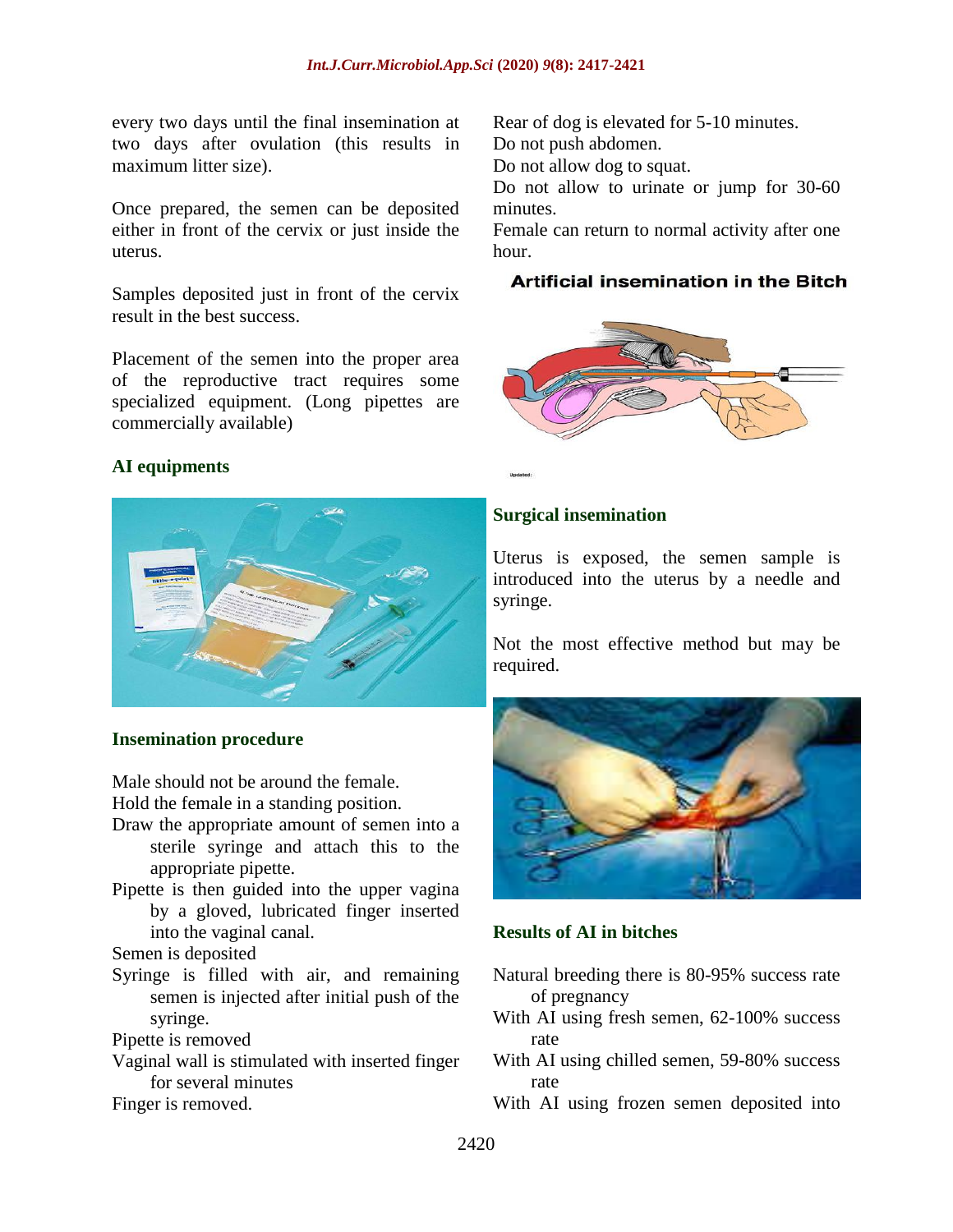every two days until the final insemination at two days after ovulation (this results in maximum litter size).

Once prepared, the semen can be deposited either in front of the cervix or just inside the uterus.

Samples deposited just in front of the cervix result in the best success.

Placement of the semen into the proper area of the reproductive tract requires some specialized equipment. (Long pipettes are commercially available)

## **AI equipments**



#### **Insemination procedure**

Male should not be around the female.

Hold the female in a standing position.

- Draw the appropriate amount of semen into a sterile syringe and attach this to the appropriate pipette.
- Pipette is then guided into the upper vagina by a gloved, lubricated finger inserted into the vaginal canal.

Semen is deposited

Syringe is filled with air, and remaining semen is injected after initial push of the syringe.

Pipette is removed

Vaginal wall is stimulated with inserted finger for several minutes

Finger is removed.

Rear of dog is elevated for 5-10 minutes. Do not push abdomen.

Do not allow dog to squat.

Do not allow to urinate or jump for 30-60 minutes.

Female can return to normal activity after one hour.

#### **Artificial insemination in the Bitch**



## **Surgical insemination**

Uterus is exposed, the semen sample is introduced into the uterus by a needle and syringe.

Not the most effective method but may be required.



#### **Results of AI in bitches**

- Natural breeding there is 80-95% success rate of pregnancy
- With AI using fresh semen, 62-100% success rate
- With AI using chilled semen, 59-80% success rate
- With AI using frozen semen deposited into